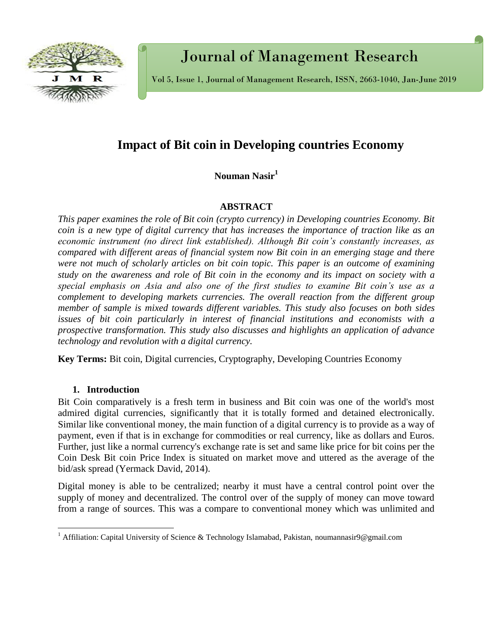

# Journal of Management Research

Vol 5, Issue 1, Journal of Management Research, ISSN, 2663-1040, Jan-June 2019

## **Impact of Bit coin in Developing countries Economy**

**Nouman Nasir<sup>1</sup>**

## **ABSTRACT**

*This paper examines the role of Bit coin (crypto currency) in Developing countries Economy. Bit coin is a new type of digital currency that has increases the importance of traction like as an economic instrument (no direct link established). Although Bit coin's constantly increases, as compared with different areas of financial system now Bit coin in an emerging stage and there were not much of scholarly articles on bit coin topic. This paper is an outcome of examining study on the awareness and role of Bit coin in the economy and its impact on society with a special emphasis on Asia and also one of the first studies to examine Bit coin's use as a complement to developing markets currencies. The overall reaction from the different group member of sample is mixed towards different variables. This study also focuses on both sides issues of bit coin particularly in interest of financial institutions and economists with a prospective transformation. This study also discusses and highlights an application of advance technology and revolution with a digital currency.* 

**Key Terms:** Bit coin, Digital currencies, Cryptography, Developing Countries Economy

## **1. Introduction**

 $\overline{\phantom{a}}$ 

Bit Coin comparatively is a fresh term in business and Bit coin was one of the world's most admired digital currencies, significantly that it is totally formed and detained electronically. Similar like conventional money, the main function of a digital currency is to provide as a way of payment, even if that is in exchange for commodities or real currency, like as dollars and Euros. Further, just like a [normal currency's exchange rate](https://knoema.com/hdsmcwf/us-dollar-to-euro-exchange-rate) is set and same like price for bit coins per the Coin Desk Bit coin Price Index is situated on market move and uttered as the average of the bid/ask spread (Yermack David, 2014).

Digital money is able to be centralized; nearby it must have a central control point over the supply of money and decentralized. The control over of the supply of money can move toward from a range of sources. This was a compare to conventional money which was unlimited and

<sup>&</sup>lt;sup>1</sup> Affiliation: Capital University of Science & Technology Islamabad, Pakistan, [noumannasir9@gmail.com](mailto:noumannasir9@gmail.com)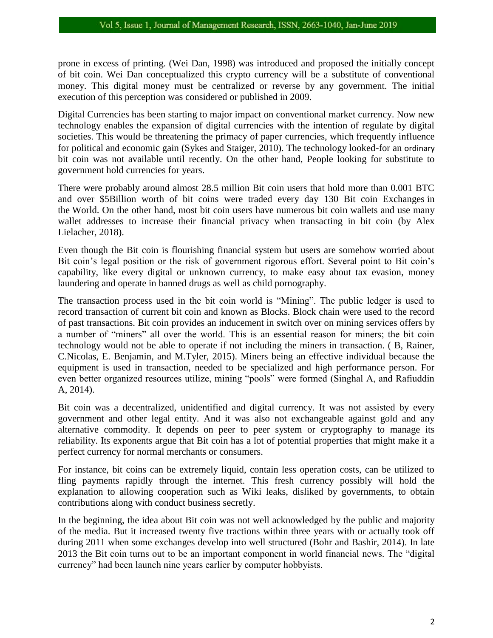prone in excess of printing. (Wei Dan, 1998) was introduced and proposed the initially concept of bit coin. Wei Dan conceptualized this crypto currency will be a substitute of conventional money. This digital money must be centralized or reverse by any government. The initial execution of this perception was considered or published in 2009.

Digital Currencies has been starting to major impact on conventional market currency. Now new technology enables the expansion of digital currencies with the intention of regulate by digital societies. This would be threatening the primacy of paper currencies, which frequently influence for political and economic gain (Sykes and Staiger, 2010). The technology looked-for an ordinary bit coin was not available until recently. On the other hand, People looking for substitute to government hold currencies for years.

There were probably around almost 28.5 million Bit coin users that hold more than 0.001 BTC and over \$5Billion worth of bit coins were traded every day 130 Bit coin Exchanges in the World. On the other hand, most bit coin users have numerous bit coin wallets and use many wallet addresses to increase their financial privacy when transacting in bit coin (by Alex Lielacher, 2018).

Even though the Bit coin is flourishing financial system but users are somehow worried about Bit coin's legal position or the risk of government rigorous effort. Several point to Bit coin's capability, like every digital or unknown currency, to make easy about tax evasion, money laundering and operate in banned drugs as well as child pornography.

The transaction process used in the bit coin world is "Mining". The public ledger is used to record transaction of current bit coin and known as Blocks. Block chain were used to the record of past transactions. Bit coin provides an inducement in switch over on mining services offers by a number of "miners" all over the world. This is an essential reason for miners; the bit coin technology would not be able to operate if not including the miners in transaction. ( B, Rainer, C.Nicolas, E. Benjamin, and M.Tyler, 2015). Miners being an effective individual because the equipment is used in transaction, needed to be specialized and high performance person. For even better organized resources utilize, mining "pools" were formed (Singhal A, and Rafiuddin A, 2014).

Bit coin was a decentralized, unidentified and digital currency. It was not assisted by every government and other legal entity. And it was also not exchangeable against gold and any alternative commodity. It depends on peer to peer system or cryptography to manage its reliability. Its exponents argue that Bit coin has a lot of potential properties that might make it a perfect currency for normal merchants or consumers.

For instance, bit coins can be extremely liquid, contain less operation costs, can be utilized to fling payments rapidly through the internet. This fresh currency possibly will hold the explanation to allowing cooperation such as Wiki leaks, disliked by governments, to obtain contributions along with conduct business secretly.

In the beginning, the idea about Bit coin was not well acknowledged by the public and majority of the media. But it increased twenty five tractions within three years with or actually took off during 2011 when some exchanges develop into well structured (Bohr and Bashir, 2014). In late 2013 the Bit coin turns out to be an important component in world financial news. The "digital currency" had been launch nine years earlier by computer hobbyists.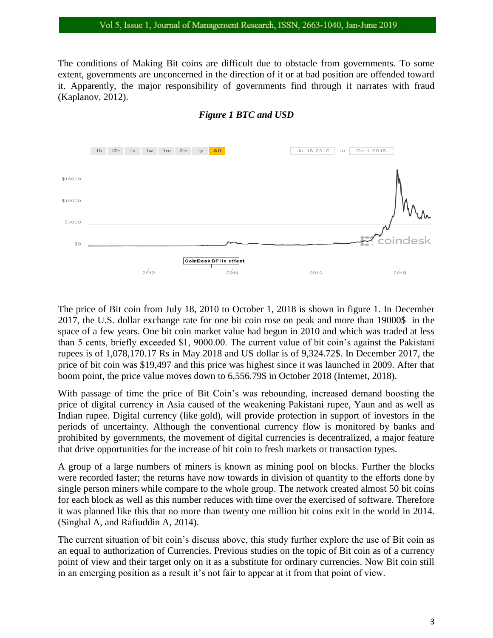The conditions of Making Bit coins are difficult due to obstacle from governments. To some extent, governments are unconcerned in the direction of it or at bad position are offended toward it. Apparently, the major responsibility of governments find through it narrates with fraud (Kaplanov, 2012).



## *Figure 1 BTC and USD*

The price of Bit coin from July 18, 2010 to October 1, 2018 is shown in figure 1. In December 2017, the U.S. dollar exchange rate for one bit coin rose on peak and more than 19000\$ in the space of a few years. One bit coin market value had begun in 2010 and which was traded at less than 5 cents, briefly exceeded \$1, 9000.00. The current value of bit coin's against the Pakistani rupees is of 1,078,170.17 Rs in May 2018 and US dollar is of 9,324.72\$. In December 2017, the price of bit coin was \$19,497 and this price was highest since it was launched in 2009. After that boom point, the price value moves down to 6,556.79\$ in October 2018 (Internet, 2018).

With passage of time the price of Bit Coin's was rebounding, increased demand boosting the price of digital currency in Asia caused of the weakening Pakistani rupee, Yaun and as well as Indian rupee. Digital currency (like [gold\)](https://knoema.com/ryjroog/gold-price-forecast-long-term-to-2025), will provide protection in support of investors in the periods of uncertainty. Although the conventional currency flow is monitored by banks and prohibited by governments, the movement of digital currencies is decentralized, a major feature that drive opportunities for the increase of bit coin to fresh markets or transaction types.

A group of a large numbers of miners is known as mining pool on blocks. Further the blocks were recorded faster; the returns have now towards in division of quantity to the efforts done by single person miners while compare to the whole group. The network created almost 50 bit coins for each block as well as this number reduces with time over the exercised of software. Therefore it was planned like this that no more than twenty one million bit coins exit in the world in 2014. (Singhal A, and Rafiuddin A, 2014).

The current situation of bit coin's discuss above, this study further explore the use of Bit coin as an equal to authorization of Currencies. Previous studies on the topic of Bit coin as of a currency point of view and their target only on it as a substitute for ordinary currencies. Now Bit coin still in an emerging position as a result it's not fair to appear at it from that point of view.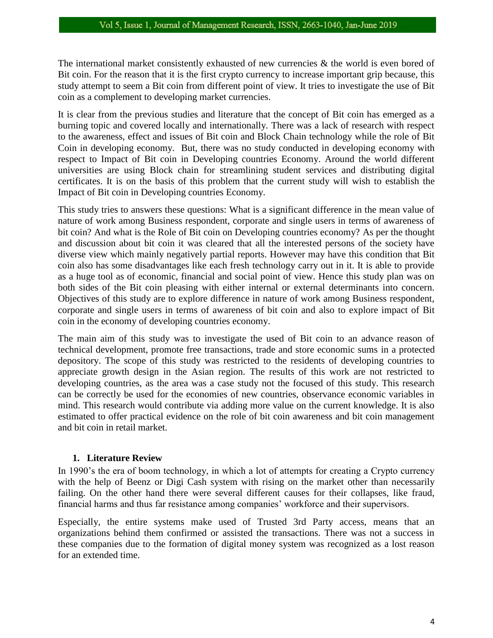The international market consistently exhausted of new currencies  $\&$  the world is even bored of Bit coin. For the reason that it is the first crypto currency to increase important grip because, this study attempt to seem a Bit coin from different point of view. It tries to investigate the use of Bit coin as a complement to developing market currencies.

It is clear from the previous studies and literature that the concept of Bit coin has emerged as a burning topic and covered locally and internationally. There was a lack of research with respect to the awareness, effect and issues of Bit coin and Block Chain technology while the role of Bit Coin in developing economy. But, there was no study conducted in developing economy with respect to Impact of Bit coin in Developing countries Economy. Around the world different universities are using Block chain for streamlining student services and distributing digital certificates. It is on the basis of this problem that the current study will wish to establish the Impact of Bit coin in Developing countries Economy.

This study tries to answers these questions: What is a significant difference in the mean value of nature of work among Business respondent, corporate and single users in terms of awareness of bit coin? And what is the Role of Bit coin on Developing countries economy? As per the thought and discussion about bit coin it was cleared that all the interested persons of the society have diverse view which mainly negatively partial reports. However may have this condition that Bit coin also has some disadvantages like each fresh technology carry out in it. It is able to provide as a huge tool as of economic, financial and social point of view. Hence this study plan was on both sides of the Bit coin pleasing with either internal or external determinants into concern. Objectives of this study are to explore difference in nature of work among Business respondent, corporate and single users in terms of awareness of bit coin and also to explore impact of Bit coin in the economy of developing countries economy.

The main aim of this study was to investigate the used of Bit coin to an advance reason of technical development, promote free transactions, trade and store economic sums in a protected depository. The scope of this study was restricted to the residents of developing countries to appreciate growth design in the Asian region. The results of this work are not restricted to developing countries, as the area was a case study not the focused of this study. This research can be correctly be used for the economies of new countries, observance economic variables in mind. This research would contribute via adding more value on the current knowledge. It is also estimated to offer practical evidence on the role of bit coin awareness and bit coin management and bit coin in retail market.

## **1. Literature Review**

In 1990's the era of boom technology, in which a lot of attempts for creating a Crypto currency with the help of Beenz or Digi Cash system with rising on the market other than necessarily failing. On the other hand there were several different causes for their collapses, like fraud, financial harms and thus far resistance among companies' workforce and their supervisors.

Especially, the entire systems make used of Trusted 3rd Party access, means that an organizations behind them confirmed or assisted the transactions. There was not a success in these companies due to the formation of digital money system was recognized as a lost reason for an extended time.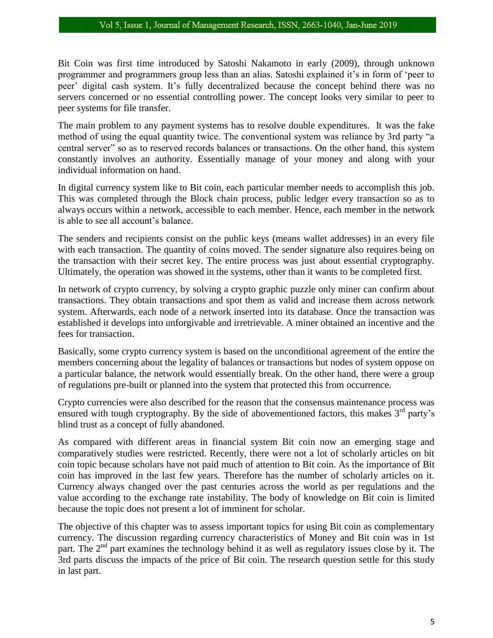#### Vol 5, Issue 1, Journal of Management Research, ISSN, 2663-1040, Jan-June 2019

Bit Coin was first time introduced by Satoshi Nakamoto in early (2009), through unknown programmer and programmers group less than an alias. Satoshi explained it's in form of 'peer to peer' digital cash system. It's fully decentralized because the concept behind there was no servers concerned or no essential controlling power. The concept looks very similar to peer to peer systems for file transfer.

The main problem to any payment systems has to resolve double expenditures. It was the fake method of using the equal quantity twice. The conventional system was reliance by 3rd party "a central server" so as to reserved records balances or transactions. On the other hand, this system constantly involves an authority. Essentially manage of your money and along with your individual information on hand.

In digital currency system like to Bit coin, each particular member needs to accomplish this job. This was completed through the Block chain process, public ledger every transaction so as to always occurs within a network, accessible to each member. Hence, each member in the network is able to see all account's balance.

The senders and recipients consist on the public keys (means wallet addresses) in an every file with each transaction. The quantity of coins moved. The sender signature also requires being on the transaction with their secret key. The entire process was just about essential cryptography. Ultimately, the operation was showed in the systems, other than it wants to be completed first.

In network of crypto currency, by solving a crypto graphic puzzle only miner can confirm about transactions. They obtain transactions and spot them as valid and increase them across network system. Afterwards, each node of a network inserted into its database. Once the transaction was established it develops into unforgivable and irretrievable. A miner obtained an incentive and the fees for transaction.

Basically, some crypto currency system is based on the unconditional agreement of the entire the members concerning about the legality of balances or transactions but nodes of system oppose on a particular balance, the network would essentially break. On the other hand, there were a group of regulations pre-built or planned into the system that protected this from occurrence.

Crypto currencies were also described for the reason that the consensus maintenance process was ensured with tough cryptography. By the side of abovementioned factors, this makes  $3<sup>rd</sup>$  party's blind trust as a concept of fully abandoned.

As compared with different areas in financial system Bit coin now an emerging stage and comparatively studies were restricted. Recently, there were not a lot of scholarly articles on bit coin topic because scholars have not paid much of attention to Bit coin. As the importance of Bit coin has improved in the last few years. Therefore has the number of scholarly articles on it. Currency always changed over the past centuries across the world as per regulations and the value according to the exchange rate instability. The body of knowledge on Bit coin is limited because the topic does not present a lot of imminent for scholar.

The objective of this chapter was to assess important topics for using Bit coin as complementary currency. The discussion regarding currency characteristics of Money and Bit coin was in 1st part. The  $2<sup>nd</sup>$  part examines the technology behind it as well as regulatory issues close by it. The 3rd parts discuss the impacts of the price of Bit coin. The research question settle for this study in last part.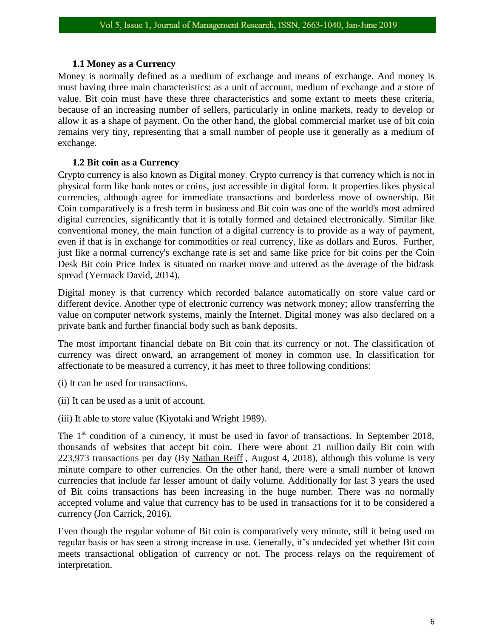## **1.1 Money as a Currency**

Money is normally defined as a medium of exchange and means of exchange. And money is must having three main characteristics: as a unit of account, medium of exchange and a store of value. Bit coin must have these three characteristics and some extant to meets these criteria, because of an increasing number of sellers, particularly in online markets, ready to develop or allow it as a shape of payment. On the other hand, the global commercial market use of bit coin remains very tiny, representing that a small number of people use it generally as a medium of exchange.

## **1.2 Bit coin as a Currency**

Crypto currency is also known as Digital money. Crypto currency is that currency which is not in physical form like [bank notes](https://en.wikipedia.org/wiki/Banknote) or [coins,](https://en.wikipedia.org/wiki/Coin) just accessible in digital form. It properties likes physical currencies, although agree for immediate transactions and borderless move of ownership. Bit Coin comparatively is a fresh term in business and Bit coin was one of the world's most admired digital currencies, significantly that it is totally formed and detained electronically. Similar like conventional money, the main function of a digital currency is to provide as a way of payment, even if that is in exchange for commodities or real currency, like as dollars and Euros. Further, just like a [normal currency's exchange rate](https://knoema.com/hdsmcwf/us-dollar-to-euro-exchange-rate) is set and same like price for bit coins per the Coin Desk Bit coin Price Index is situated on market move and uttered as the average of the bid/ask spread (Yermack David, 2014).

Digital money is that currency which recorded balance automatically on [store value card](https://en.wikipedia.org/wiki/Stored-value_card) or different device. Another type of electronic currency was network money; allow transferring the value on [computer network systems,](https://en.wikipedia.org/wiki/Computer_networks) mainly the [Internet.](https://en.wikipedia.org/wiki/Internet) Digital money was also declared on a private [bank](https://en.wikipedia.org/wiki/Bank) and further financial body such as [bank deposits.](https://en.wikipedia.org/wiki/Bank_deposits)

The most important financial debate on Bit coin that its currency or not. The classification of currency was direct onward, an arrangement of money in common use. In classification for affectionate to be measured a currency, it has meet to three following conditions:

- (i) It can be used for transactions.
- (ii) It can be used as a unit of account.
- (iii) It able to store value (Kiyotaki and Wright 1989).

The  $1<sup>st</sup>$  condition of a currency, it must be used in favor of transactions. In September 2018, thousands of websites that accept bit coin. There were about 21 million daily Bit coin with 223,973 transactions per day (By [Nathan Reiff](https://www.investopedia.com/contributors/54684/) , August 4, 2018), although this volume is very minute compare to other currencies. On the other hand, there were a small number of known currencies that include far lesser amount of daily volume. Additionally for last 3 years the used of Bit coins transactions has been increasing in the huge number. There was no normally accepted volume and value that currency has to be used in transactions for it to be considered a currency (Jon Carrick, 2016).

Even though the regular volume of Bit coin is comparatively very minute, still it being used on regular basis or has seen a strong increase in use. Generally, it's undecided yet whether Bit coin meets transactional obligation of currency or not. The process relays on the requirement of interpretation.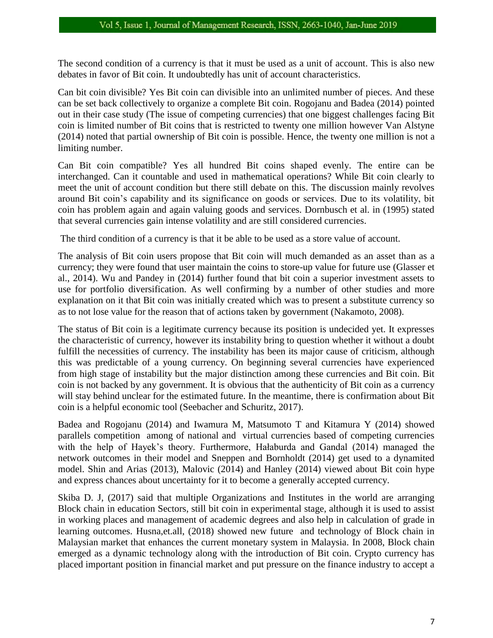The second condition of a currency is that it must be used as a unit of account. This is also new debates in favor of Bit coin. It undoubtedly has unit of account characteristics.

Can bit coin divisible? Yes Bit coin can divisible into an unlimited number of pieces. And these can be set back collectively to organize a complete Bit coin. Rogojanu and Badea (2014) pointed out in their case study (The issue of competing currencies) that one biggest challenges facing Bit coin is limited number of Bit coins that is restricted to twenty one million however Van Alstyne (2014) noted that partial ownership of Bit coin is possible. Hence, the twenty one million is not a limiting number.

Can Bit coin compatible? Yes all hundred Bit coins shaped evenly. The entire can be interchanged. Can it countable and used in mathematical operations? While Bit coin clearly to meet the unit of account condition but there still debate on this. The discussion mainly revolves around Bit coin's capability and its significance on goods or services. Due to its volatility, bit coin has problem again and again valuing goods and services. Dornbusch et al. in (1995) stated that several currencies gain intense volatility and are still considered currencies.

The third condition of a currency is that it be able to be used as a store value of account.

The analysis of Bit coin users propose that Bit coin will much demanded as an asset than as a currency; they were found that user maintain the coins to store-up value for future use (Glasser et al., 2014). Wu and Pandey in (2014) further found that bit coin a superior investment assets to use for portfolio diversification. As well confirming by a number of other studies and more explanation on it that Bit coin was initially created which was to present a substitute currency so as to not lose value for the reason that of actions taken by government (Nakamoto, 2008).

The status of Bit coin is a legitimate currency because its position is undecided yet. It expresses the characteristic of currency, however its instability bring to question whether it without a doubt fulfill the necessities of currency. The instability has been its major cause of criticism, although this was predictable of a young currency. On beginning several currencies have experienced from high stage of instability but the major distinction among these currencies and Bit coin. Bit coin is not backed by any government. It is obvious that the authenticity of Bit coin as a currency will stay behind unclear for the estimated future. In the meantime, there is confirmation about Bit coin is a helpful economic tool (Seebacher and Schuritz, 2017).

Badea and Rogojanu (2014) and Iwamura M, Matsumoto T and Kitamura Y (2014) showed parallels competition among of national and virtual currencies based of competing currencies with the help of Hayek's theory. Furthermore, Hałaburda and Gandal (2014) managed the network outcomes in their model and Sneppen and Bornholdt (2014) get used to a dynamited model. Shin and Arias (2013), Malovic (2014) and Hanley (2014) viewed about Bit coin hype and express chances about uncertainty for it to become a generally accepted currency.

Skiba D. J, (2017) said that multiple Organizations and Institutes in the world are arranging Block chain in education Sectors, still bit coin in experimental stage, although it is used to assist in working places and management of academic degrees and also help in calculation of grade in learning outcomes. Husna,et.all, (2018) showed new future and technology of Block chain in Malaysian market that enhances the current monetary system in Malaysia. In 2008, Block chain emerged as a dynamic technology along with the introduction of Bit coin. Crypto currency has placed important position in financial market and put pressure on the finance industry to accept a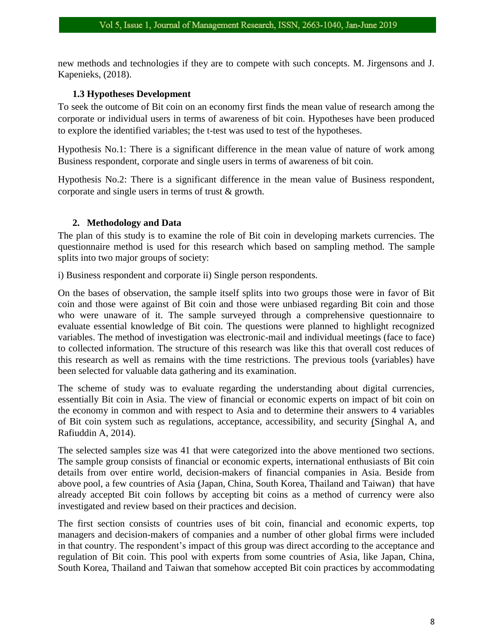new methods and technologies if they are to compete with such concepts. M. Jirgensons and J. Kapenieks, (2018).

## **1.3 Hypotheses Development**

To seek the outcome of Bit coin on an economy first finds the mean value of research among the corporate or individual users in terms of awareness of bit coin. Hypotheses have been produced to explore the identified variables; the t-test was used to test of the hypotheses.

Hypothesis No.1: There is a significant difference in the mean value of nature of work among Business respondent, corporate and single users in terms of awareness of bit coin.

Hypothesis No.2: There is a significant difference in the mean value of Business respondent, corporate and single users in terms of trust & growth.

## **2. Methodology and Data**

The plan of this study is to examine the role of Bit coin in developing markets currencies. The questionnaire method is used for this research which based on sampling method. The sample splits into two major groups of society:

i) Business respondent and corporate ii) Single person respondents.

On the bases of observation, the sample itself splits into two groups those were in favor of Bit coin and those were against of Bit coin and those were unbiased regarding Bit coin and those who were unaware of it. The sample surveyed through a comprehensive questionnaire to evaluate essential knowledge of Bit coin. The questions were planned to highlight recognized variables. The method of investigation was electronic-mail and individual meetings (face to face) to collected information. The structure of this research was like this that overall cost reduces of this research as well as remains with the time restrictions. The previous tools (variables) have been selected for valuable data gathering and its examination.

The scheme of study was to evaluate regarding the understanding about digital currencies, essentially Bit coin in Asia. The view of financial or economic experts on impact of bit coin on the economy in common and with respect to Asia and to determine their answers to 4 variables of Bit coin system such as regulations, acceptance, accessibility, and security (Singhal A, and Rafiuddin A, 2014).

The selected samples size was 41 that were categorized into the above mentioned two sections. The sample group consists of financial or economic experts, international enthusiasts of Bit coin details from over entire world, decision-makers of financial companies in Asia. Beside from above pool, a few countries of Asia (Japan, China, South Korea, Thailand and Taiwan) that have already accepted Bit coin follows by accepting bit coins as a method of currency were also investigated and review based on their practices and decision.

The first section consists of countries uses of bit coin, financial and economic experts, top managers and decision-makers of companies and a number of other global firms were included in that country. The respondent's impact of this group was direct according to the acceptance and regulation of Bit coin. This pool with experts from some countries of Asia, like Japan, China, South Korea, Thailand and Taiwan that somehow accepted Bit coin practices by accommodating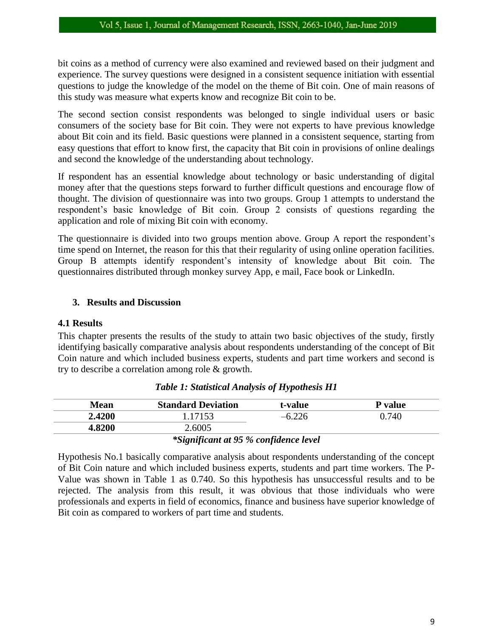bit coins as a method of currency were also examined and reviewed based on their judgment and experience. The survey questions were designed in a consistent sequence initiation with essential questions to judge the knowledge of the model on the theme of Bit coin. One of main reasons of this study was measure what experts know and recognize Bit coin to be.

The second section consist respondents was belonged to single individual users or basic consumers of the society base for Bit coin. They were not experts to have previous knowledge about Bit coin and its field. Basic questions were planned in a consistent sequence, starting from easy questions that effort to know first, the capacity that Bit coin in provisions of online dealings and second the knowledge of the understanding about technology.

If respondent has an essential knowledge about technology or basic understanding of digital money after that the questions steps forward to further difficult questions and encourage flow of thought. The division of questionnaire was into two groups. Group 1 attempts to understand the respondent's basic knowledge of Bit coin. Group 2 consists of questions regarding the application and role of mixing Bit coin with economy.

The questionnaire is divided into two groups mention above. Group A report the respondent's time spend on Internet, the reason for this that their regularity of using online operation facilities. Group B attempts identify respondent's intensity of knowledge about Bit coin. The questionnaires distributed through monkey survey App, e mail, Face book or LinkedIn.

## **3. Results and Discussion**

#### **4.1 Results**

This chapter presents the results of the study to attain two basic objectives of the study, firstly identifying basically comparative analysis about respondents understanding of the concept of Bit Coin nature and which included business experts, students and part time workers and second is try to describe a correlation among role & growth.

| <b>Mean</b> | <b>Standard Deviation</b>                             | t-value      | P value |
|-------------|-------------------------------------------------------|--------------|---------|
| 2.4200      | .17153                                                |              | 0.740   |
| 4.8200      | 2.6005                                                |              |         |
|             | $\cdot$ $\cdot$<br>$\sim$<br>$\overline{\phantom{a}}$ | $\mathbf{A}$ |         |

#### *Table 1: Statistical Analysis of Hypothesis H1*

#### *\*Significant at 95 % confidence level*

Hypothesis No.1 basically comparative analysis about respondents understanding of the concept of Bit Coin nature and which included business experts, students and part time workers. The P-Value was shown in Table 1 as 0.740. So this hypothesis has unsuccessful results and to be rejected. The analysis from this result, it was obvious that those individuals who were professionals and experts in field of economics, finance and business have superior knowledge of Bit coin as compared to workers of part time and students.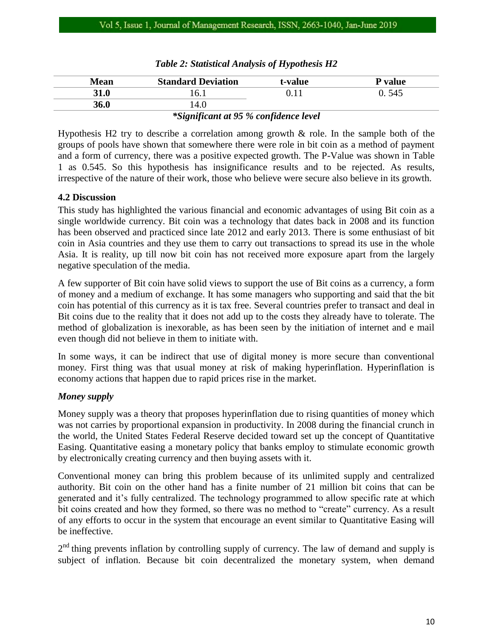| 31.0<br>l 6.1       | P value |
|---------------------|---------|
|                     | 0. 545  |
| <b>36.0</b><br>l4.0 |         |

## *Table 2: Statistical Analysis of Hypothesis H2*

#### *\*Significant at 95 % confidence level*

Hypothesis H2 try to describe a correlation among growth & role. In the sample both of the groups of pools have shown that somewhere there were role in bit coin as a method of payment and a form of currency, there was a positive expected growth. The P-Value was shown in Table 1 as 0.545. So this hypothesis has insignificance results and to be rejected. As results, irrespective of the nature of their work, those who believe were secure also believe in its growth.

## **4.2 Discussion**

This study has highlighted the various financial and economic advantages of using Bit coin as a single worldwide currency. Bit coin was a technology that dates back in 2008 and its function has been observed and practiced since late 2012 and early 2013. There is some enthusiast of bit coin in Asia countries and they use them to carry out transactions to spread its use in the whole Asia. It is reality, up till now bit coin has not received more exposure apart from the largely negative speculation of the media.

A few supporter of Bit coin have solid views to support the use of Bit coins as a currency, a form of money and a medium of exchange. It has some managers who supporting and said that the bit coin has potential of this currency as it is tax free. Several countries prefer to transact and deal in Bit coins due to the reality that it does not add up to the costs they already have to tolerate. The method of globalization is inexorable, as has been seen by the initiation of internet and e mail even though did not believe in them to initiate with.

In some ways, it can be indirect that use of digital money is more secure than conventional money. First thing was that usual money at risk of making hyperinflation. Hyperinflation is economy actions that happen due to rapid prices rise in the market.

## *Money supply*

Money supply was a theory that proposes hyperinflation due to rising quantities of money which was not carries by proportional expansion in productivity. In 2008 during the financial crunch in the world, the United States Federal Reserve decided toward set up the concept of Quantitative Easing. Quantitative easing a monetary policy that banks employ to stimulate economic growth by electronically creating currency and then buying assets with it.

Conventional money can bring this problem because of its unlimited supply and centralized authority. Bit coin on the other hand has a finite number of 21 million bit coins that can be generated and it's fully centralized. The technology programmed to allow specific rate at which bit coins created and how they formed, so there was no method to "create" currency. As a result of any efforts to occur in the system that encourage an event similar to Quantitative Easing will be ineffective.

 $2<sup>nd</sup>$  thing prevents inflation by controlling supply of currency. The law of demand and supply is subject of inflation. Because bit coin decentralized the monetary system, when demand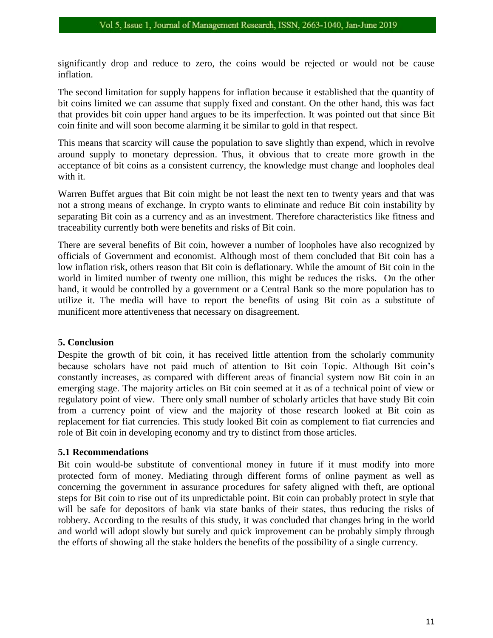significantly drop and reduce to zero, the coins would be rejected or would not be cause inflation.

The second limitation for supply happens for inflation because it established that the quantity of bit coins limited we can assume that supply fixed and constant. On the other hand, this was fact that provides bit coin upper hand argues to be its imperfection. It was pointed out that since Bit coin finite and will soon become alarming it be similar to gold in that respect.

This means that scarcity will cause the population to save slightly than expend, which in revolve around supply to monetary depression. Thus, it obvious that to create more growth in the acceptance of bit coins as a consistent currency, the knowledge must change and loopholes deal with it.

Warren Buffet argues that Bit coin might be not least the next ten to twenty years and that was not a strong means of exchange. In crypto wants to eliminate and reduce Bit coin instability by separating Bit coin as a currency and as an investment. Therefore characteristics like fitness and traceability currently both were benefits and risks of Bit coin.

There are several benefits of Bit coin, however a number of loopholes have also recognized by officials of Government and economist. Although most of them concluded that Bit coin has a low inflation risk, others reason that Bit coin is deflationary. While the amount of Bit coin in the world in limited number of twenty one million, this might be reduces the risks. On the other hand, it would be controlled by a government or a Central Bank so the more population has to utilize it. The media will have to report the benefits of using Bit coin as a substitute of munificent more attentiveness that necessary on disagreement.

#### **5. Conclusion**

Despite the growth of bit coin, it has received little attention from the scholarly community because scholars have not paid much of attention to Bit coin Topic. Although Bit coin's constantly increases, as compared with different areas of financial system now Bit coin in an emerging stage. The majority articles on Bit coin seemed at it as of a technical point of view or regulatory point of view. There only small number of scholarly articles that have study Bit coin from a currency point of view and the majority of those research looked at Bit coin as replacement for fiat currencies. This study looked Bit coin as complement to fiat currencies and role of Bit coin in developing economy and try to distinct from those articles.

#### **5.1 Recommendations**

Bit coin would-be substitute of conventional money in future if it must modify into more protected form of money. Mediating through different forms of online payment as well as concerning the government in assurance procedures for safety aligned with theft, are optional steps for Bit coin to rise out of its unpredictable point. Bit coin can probably protect in style that will be safe for depositors of bank via state banks of their states, thus reducing the risks of robbery. According to the results of this study, it was concluded that changes bring in the world and world will adopt slowly but surely and quick improvement can be probably simply through the efforts of showing all the stake holders the benefits of the possibility of a single currency.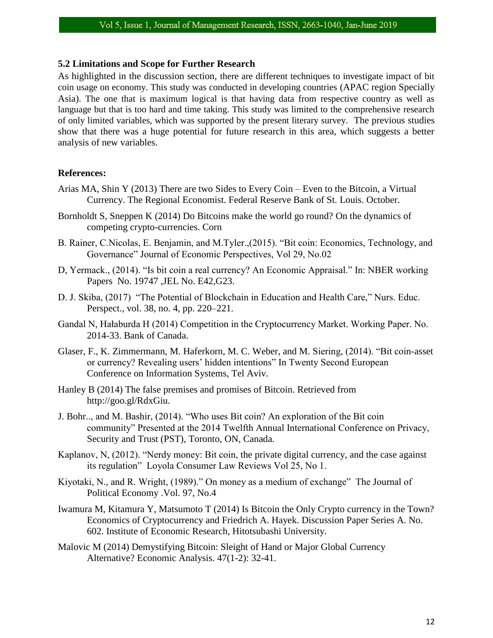#### **5.2 Limitations and Scope for Further Research**

As highlighted in the discussion section, there are different techniques to investigate impact of bit coin usage on economy. This study was conducted in developing countries (APAC region Specially Asia). The one that is maximum logical is that having data from respective country as well as language but that is too hard and time taking. This study was limited to the comprehensive research of only limited variables, which was supported by the present literary survey. The previous studies show that there was a huge potential for future research in this area, which suggests a better analysis of new variables.

#### **References:**

- Arias MA, Shin Y (2013) There are two Sides to Every Coin Even to the Bitcoin, a Virtual Currency. The Regional Economist. Federal Reserve Bank of St. Louis. October.
- Bornholdt S, Sneppen K (2014) Do Bitcoins make the world go round? On the dynamics of competing crypto-currencies. Corn
- B. Rainer, C.Nicolas, E. Benjamin, and M.Tyler.,(2015). "Bit coin: Economics, Technology, and Governance" Journal of Economic Perspectives, Vol 29, No.02
- D, Yermack., (2014). "Is bit coin a real currency? An Economic Appraisal." In: NBER working Papers No. 19747 ,JEL No. E42,G23.
- D. J. Skiba, (2017) "The Potential of Blockchain in Education and Health Care," Nurs. Educ. Perspect., vol. 38, no. 4, pp. 220–221.
- Gandal N, Hałaburda H (2014) Competition in the Cryptocurrency Market. Working Paper. No. 2014-33. Bank of Canada.
- Glaser, F., K. Zimmermann, M. Haferkorn, M. C. Weber, and M. Siering, (2014). "Bit coin-asset or currency? Revealing users' hidden intentions" In Twenty Second European Conference on Information Systems, Tel Aviv.
- Hanley B (2014) The false premises and promises of Bitcoin. Retrieved from http://goo.gl/RdxGiu.
- J. Bohr.., and M. Bashir, (2014). "Who uses Bit coin? An exploration of the Bit coin community" Presented at the 2014 Twelfth Annual International Conference on Privacy, Security and Trust (PST), Toronto, ON, Canada.
- Kaplanov, N, (2012). "Nerdy money: Bit coin, the private digital currency, and the case against its regulation" Loyola Consumer Law Reviews Vol 25, No 1.
- Kiyotaki, N., and R. Wright, (1989)." On money as a medium of exchange" The Journal of Political Economy .Vol. 97, No.4
- Iwamura M, Kitamura Y, Matsumoto T (2014) Is Bitcoin the Only Crypto currency in the Town? Economics of Cryptocurrency and Friedrich A. Hayek. Discussion Paper Series A. No. 602. Institute of Economic Research, Hitotsubashi University.
- Malovic M (2014) Demystifying Bitcoin: Sleight of Hand or Major Global Currency Alternative? Economic Analysis. 47(1-2): 32-41.